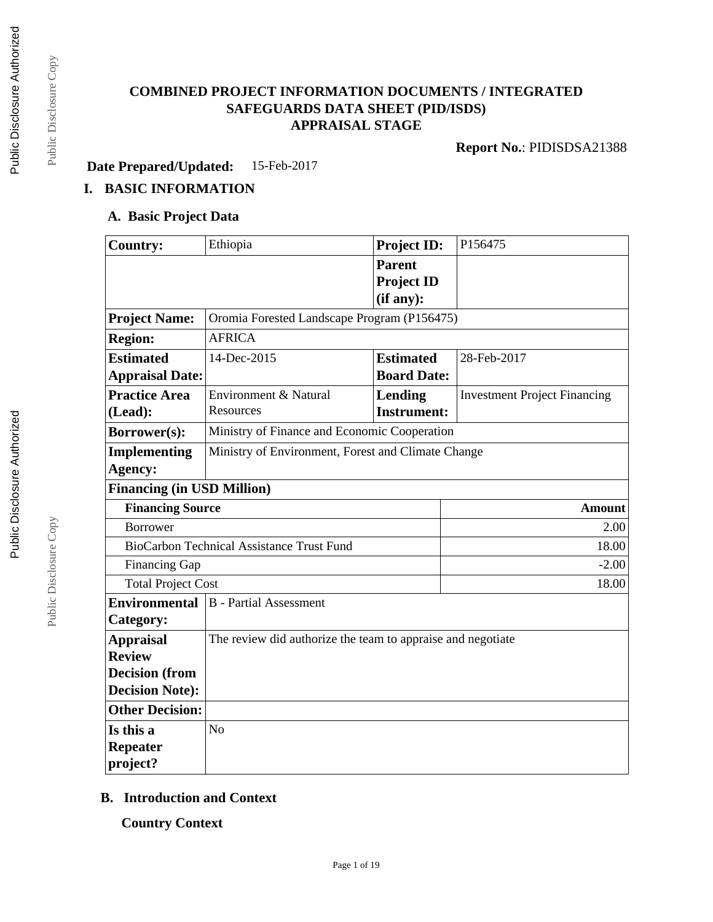# **COMBINED PROJECT INFORMATION DOCUMENTS / INTEGRATED SAFEGUARDS DATA SHEET (PID/ISDS) APPRAISAL STAGE**

**Report No.**: PIDISDSA21388

**Date Prepared/Updated:** 15-Feb-2017

# **I. BASIC INFORMATION**

### **A. Basic Project Data**

| <b>Country:</b>                   | Ethiopia                                                    | <b>Project ID:</b> | P156475                             |  |  |
|-----------------------------------|-------------------------------------------------------------|--------------------|-------------------------------------|--|--|
|                                   |                                                             | <b>Parent</b>      |                                     |  |  |
|                                   |                                                             | <b>Project ID</b>  |                                     |  |  |
|                                   |                                                             | (if any):          |                                     |  |  |
| <b>Project Name:</b>              | Oromia Forested Landscape Program (P156475)                 |                    |                                     |  |  |
| <b>Region:</b>                    | <b>AFRICA</b>                                               |                    |                                     |  |  |
| <b>Estimated</b>                  | 14-Dec-2015                                                 | <b>Estimated</b>   | 28-Feb-2017                         |  |  |
| <b>Appraisal Date:</b>            |                                                             | <b>Board Date:</b> |                                     |  |  |
| <b>Practice Area</b>              | Environment & Natural                                       | Lending            | <b>Investment Project Financing</b> |  |  |
| (Lead):                           | Resources                                                   | <b>Instrument:</b> |                                     |  |  |
| <b>Borrower(s):</b>               | Ministry of Finance and Economic Cooperation                |                    |                                     |  |  |
| <b>Implementing</b>               | Ministry of Environment, Forest and Climate Change          |                    |                                     |  |  |
| Agency:                           |                                                             |                    |                                     |  |  |
| <b>Financing (in USD Million)</b> |                                                             |                    |                                     |  |  |
| <b>Financing Source</b>           | <b>Amount</b>                                               |                    |                                     |  |  |
| <b>Borrower</b>                   | 2.00                                                        |                    |                                     |  |  |
|                                   | BioCarbon Technical Assistance Trust Fund<br>18.00          |                    |                                     |  |  |
| Financing Gap                     |                                                             |                    | $-2.00$                             |  |  |
| <b>Total Project Cost</b>         |                                                             |                    | 18.00                               |  |  |
| <b>Environmental</b>              | <b>B</b> - Partial Assessment                               |                    |                                     |  |  |
| Category:                         |                                                             |                    |                                     |  |  |
| <b>Appraisal</b>                  | The review did authorize the team to appraise and negotiate |                    |                                     |  |  |
| <b>Review</b>                     |                                                             |                    |                                     |  |  |
| <b>Decision (from</b>             |                                                             |                    |                                     |  |  |
| <b>Decision Note:</b>             |                                                             |                    |                                     |  |  |
| <b>Other Decision:</b>            |                                                             |                    |                                     |  |  |
| Is this a                         | N <sub>o</sub>                                              |                    |                                     |  |  |
| <b>Repeater</b>                   |                                                             |                    |                                     |  |  |
| project?                          |                                                             |                    |                                     |  |  |

### **B. Introduction and Context**

**Country Context**

Public Disclosure Copy

Public Disclosure Copy

Public Disclosure Copy

Public Disclosure Copy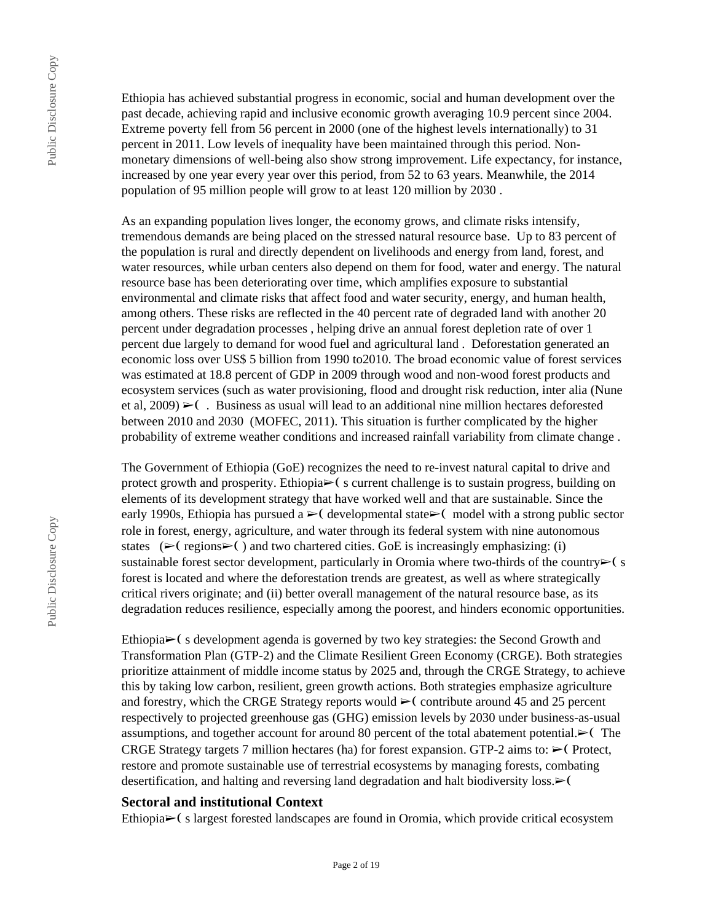Ethiopia has achieved substantial progress in economic, social and human development over the past decade, achieving rapid and inclusive economic growth averaging 10.9 percent since 2004. Extreme poverty fell from 56 percent in 2000 (one of the highest levels internationally) to 31 percent in 2011. Low levels of inequality have been maintained through this period. Nonmonetary dimensions of well-being also show strong improvement. Life expectancy, for instance, increased by one year every year over this period, from 52 to 63 years. Meanwhile, the 2014 population of 95 million people will grow to at least 120 million by 2030 .

As an expanding population lives longer, the economy grows, and climate risks intensify, tremendous demands are being placed on the stressed natural resource base. Up to 83 percent of the population is rural and directly dependent on livelihoods and energy from land, forest, and water resources, while urban centers also depend on them for food, water and energy. The natural resource base has been deteriorating over time, which amplifies exposure to substantial environmental and climate risks that affect food and water security, energy, and human health, among others. These risks are reflected in the 40 percent rate of degraded land with another 20 percent under degradation processes , helping drive an annual forest depletion rate of over 1 percent due largely to demand for wood fuel and agricultural land . Deforestation generated an economic loss over US\$ 5 billion from 1990 to2010. The broad economic value of forest services was estimated at 18.8 percent of GDP in 2009 through wood and non-wood forest products and ecosystem services (such as water provisioning, flood and drought risk reduction, inter alia (Nune et al, 2009)  $\blacktriangleright$  (. Business as usual will lead to an additional nine million hectares deforested between 2010 and 2030 (MOFEC, 2011). This situation is further complicated by the higher probability of extreme weather conditions and increased rainfall variability from climate change .

The Government of Ethiopia (GoE) recognizes the need to re-invest natural capital to drive and protect growth and prosperity. Ethiopia $\triangleright$  (s current challenge is to sustain progress, building on elements of its development strategy that have worked well and that are sustainable. Since the early 1990s, Ethiopia has pursued a  $\blacktriangleright$  ( developmental state  $\blacktriangleright$  ( model with a strong public sector role in forest, energy, agriculture, and water through its federal system with nine autonomous states ( $\blacktriangleright$  (regions $\blacktriangleright$ ) and two chartered cities. GoE is increasingly emphasizing: (i) sustainable forest sector development, particularly in Oromia where two-thirds of the country $\blacktriangleright$  (s forest is located and where the deforestation trends are greatest, as well as where strategically critical rivers originate; and (ii) better overall management of the natural resource base, as its degradation reduces resilience, especially among the poorest, and hinders economic opportunities.

Ethiopia $\blacktriangleright$  (s development agenda is governed by two key strategies: the Second Growth and Transformation Plan (GTP-2) and the Climate Resilient Green Economy (CRGE). Both strategies prioritize attainment of middle income status by 2025 and, through the CRGE Strategy, to achieve this by taking low carbon, resilient, green growth actions. Both strategies emphasize agriculture and forestry, which the CRGE Strategy reports would  $\geq$  contribute around 45 and 25 percent respectively to projected greenhouse gas (GHG) emission levels by 2030 under business-as-usual assumptions, and together account for around 80 percent of the total abatement potential.► (The CRGE Strategy targets 7 million hectares (ha) for forest expansion. GTP-2 aims to:  $\triangleright$  (Protect, restore and promote sustainable use of terrestrial ecosystems by managing forests, combating desertification, and halting and reversing land degradation and halt biodiversity loss. ► (

### **Sectoral and institutional Context**

Ethiopia➢❨ s largest forested landscapes are found in Oromia, which provide critical ecosystem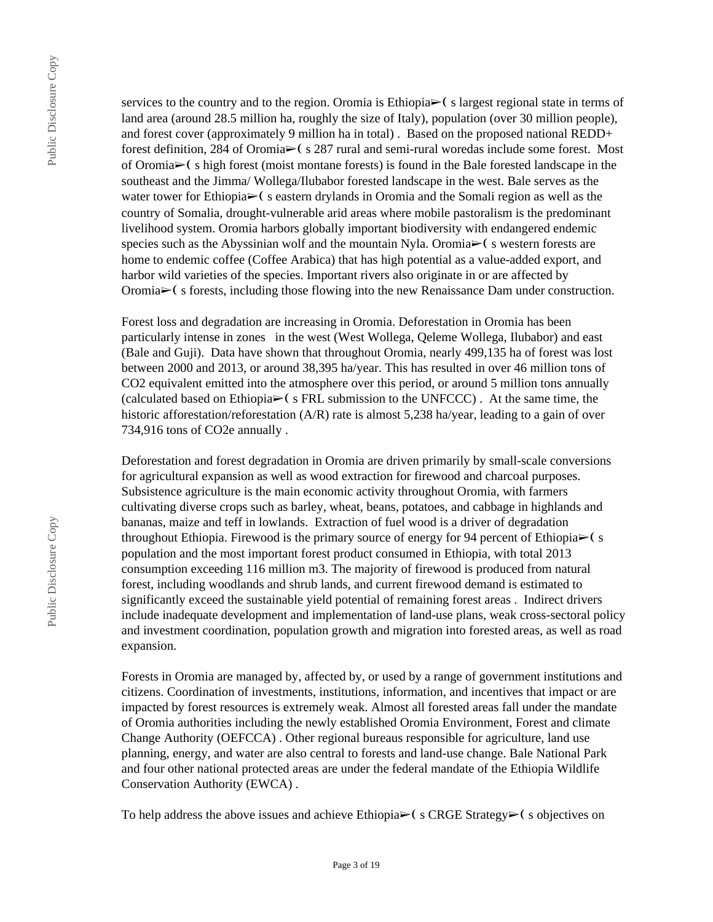services to the country and to the region. Oromia is Ethiopia $\triangleright$  (s largest regional state in terms of land area (around 28.5 million ha, roughly the size of Italy), population (over 30 million people), and forest cover (approximately 9 million ha in total) . Based on the proposed national REDD+ forest definition, 284 of Oromia➢❨ s 287 rural and semi-rural woredas include some forest. Most of Oromia $\geq$ (s high forest (moist montane forests) is found in the Bale forested landscape in the southeast and the Jimma/ Wollega/Ilubabor forested landscape in the west. Bale serves as the water tower for Ethiopia► (s eastern drylands in Oromia and the Somali region as well as the country of Somalia, drought-vulnerable arid areas where mobile pastoralism is the predominant livelihood system. Oromia harbors globally important biodiversity with endangered endemic species such as the Abyssinian wolf and the mountain Nyla. Oromia $\triangleright$  (s western forests are home to endemic coffee (Coffee Arabica) that has high potential as a value-added export, and harbor wild varieties of the species. Important rivers also originate in or are affected by Oromia➢❨ s forests, including those flowing into the new Renaissance Dam under construction.

Forest loss and degradation are increasing in Oromia. Deforestation in Oromia has been particularly intense in zones in the west (West Wollega, Qeleme Wollega, Ilubabor) and east (Bale and Guji). Data have shown that throughout Oromia, nearly 499,135 ha of forest was lost between 2000 and 2013, or around 38,395 ha/year. This has resulted in over 46 million tons of CO2 equivalent emitted into the atmosphere over this period, or around 5 million tons annually (calculated based on Ethiopia $\triangleright$  (s FRL submission to the UNFCCC). At the same time, the historic afforestation/reforestation (A/R) rate is almost 5,238 ha/year, leading to a gain of over 734,916 tons of CO2e annually .

Deforestation and forest degradation in Oromia are driven primarily by small-scale conversions for agricultural expansion as well as wood extraction for firewood and charcoal purposes. Subsistence agriculture is the main economic activity throughout Oromia, with farmers cultivating diverse crops such as barley, wheat, beans, potatoes, and cabbage in highlands and bananas, maize and teff in lowlands. Extraction of fuel wood is a driver of degradation throughout Ethiopia. Firewood is the primary source of energy for 94 percent of Ethiopia $\triangleright$  (s population and the most important forest product consumed in Ethiopia, with total 2013 consumption exceeding 116 million m3. The majority of firewood is produced from natural forest, including woodlands and shrub lands, and current firewood demand is estimated to significantly exceed the sustainable yield potential of remaining forest areas . Indirect drivers include inadequate development and implementation of land-use plans, weak cross-sectoral policy and investment coordination, population growth and migration into forested areas, as well as road expansion.

Forests in Oromia are managed by, affected by, or used by a range of government institutions and citizens. Coordination of investments, institutions, information, and incentives that impact or are impacted by forest resources is extremely weak. Almost all forested areas fall under the mandate of Oromia authorities including the newly established Oromia Environment, Forest and climate Change Authority (OEFCCA) . Other regional bureaus responsible for agriculture, land use planning, energy, and water are also central to forests and land-use change. Bale National Park and four other national protected areas are under the federal mandate of the Ethiopia Wildlife Conservation Authority (EWCA) .

To help address the above issues and achieve Ethiopia $\geq$  (scrategy $\geq$  s objectives on

Public Disclosure Copy

Public Disclosure Copy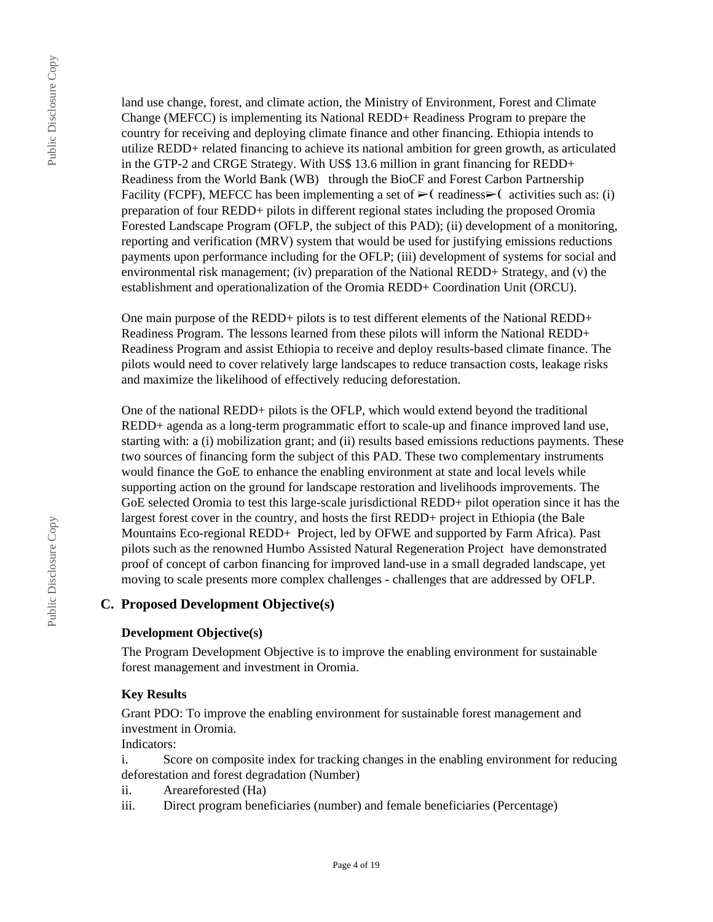land use change, forest, and climate action, the Ministry of Environment, Forest and Climate Change (MEFCC) is implementing its National REDD+ Readiness Program to prepare the country for receiving and deploying climate finance and other financing. Ethiopia intends to utilize REDD+ related financing to achieve its national ambition for green growth, as articulated in the GTP-2 and CRGE Strategy. With US\$ 13.6 million in grant financing for REDD+ Readiness from the World Bank (WB) through the BioCF and Forest Carbon Partnership Facility (FCPF), MEFCC has been implementing a set of  $\blacktriangleright$  (readiness $\blacktriangleright$ ) activities such as: (i) preparation of four REDD+ pilots in different regional states including the proposed Oromia Forested Landscape Program (OFLP, the subject of this PAD); (ii) development of a monitoring, reporting and verification (MRV) system that would be used for justifying emissions reductions payments upon performance including for the OFLP; (iii) development of systems for social and environmental risk management; (iv) preparation of the National REDD+ Strategy, and (v) the establishment and operationalization of the Oromia REDD+ Coordination Unit (ORCU).

One main purpose of the REDD+ pilots is to test different elements of the National REDD+ Readiness Program. The lessons learned from these pilots will inform the National REDD+ Readiness Program and assist Ethiopia to receive and deploy results-based climate finance. The pilots would need to cover relatively large landscapes to reduce transaction costs, leakage risks and maximize the likelihood of effectively reducing deforestation.

One of the national REDD+ pilots is the OFLP, which would extend beyond the traditional REDD+ agenda as a long-term programmatic effort to scale-up and finance improved land use, starting with: a (i) mobilization grant; and (ii) results based emissions reductions payments. These two sources of financing form the subject of this PAD. These two complementary instruments would finance the GoE to enhance the enabling environment at state and local levels while supporting action on the ground for landscape restoration and livelihoods improvements. The GoE selected Oromia to test this large-scale jurisdictional REDD+ pilot operation since it has the largest forest cover in the country, and hosts the first REDD+ project in Ethiopia (the Bale Mountains Eco-regional REDD+ Project, led by OFWE and supported by Farm Africa). Past pilots such as the renowned Humbo Assisted Natural Regeneration Project have demonstrated proof of concept of carbon financing for improved land-use in a small degraded landscape, yet moving to scale presents more complex challenges - challenges that are addressed by OFLP.

### **C. Proposed Development Objective(s)**

### **Development Objective(s)**

The Program Development Objective is to improve the enabling environment for sustainable forest management and investment in Oromia.

### **Key Results**

Grant PDO: To improve the enabling environment for sustainable forest management and investment in Oromia.

Indicators:

i. Score on composite index for tracking changes in the enabling environment for reducing deforestation and forest degradation (Number)

- ii. Areareforested (Ha)
- iii. Direct program beneficiaries (number) and female beneficiaries (Percentage)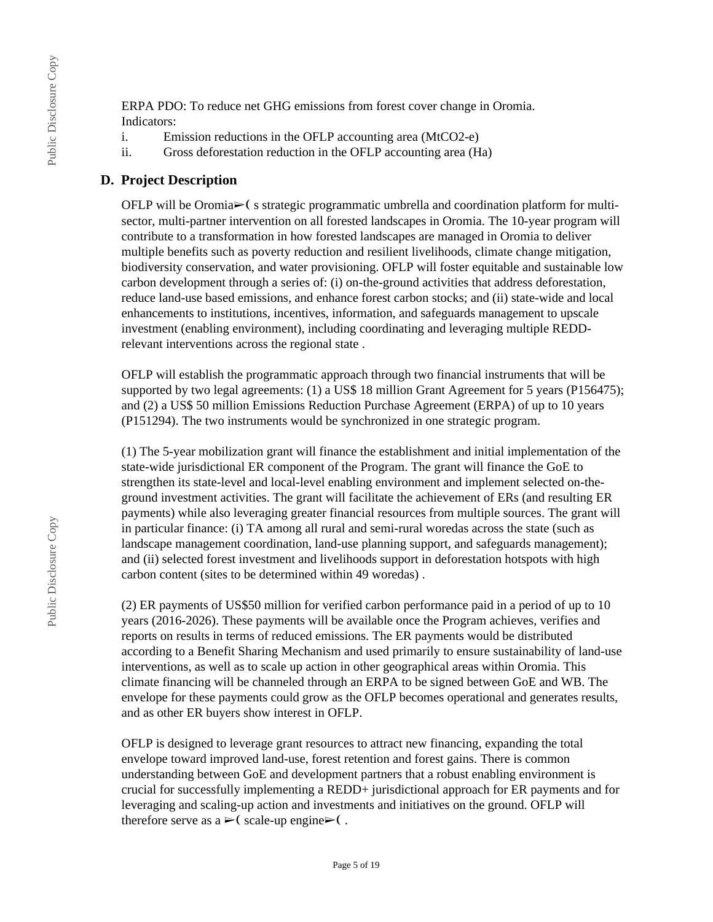ERPA PDO: To reduce net GHG emissions from forest cover change in Oromia. Indicators:

- i. Emission reductions in the OFLP accounting area (MtCO2-e)
- ii. Gross deforestation reduction in the OFLP accounting area (Ha)

### **D. Project Description**

OFLP will be Oromia► (s strategic programmatic umbrella and coordination platform for multisector, multi-partner intervention on all forested landscapes in Oromia. The 10-year program will contribute to a transformation in how forested landscapes are managed in Oromia to deliver multiple benefits such as poverty reduction and resilient livelihoods, climate change mitigation, biodiversity conservation, and water provisioning. OFLP will foster equitable and sustainable low carbon development through a series of: (i) on-the-ground activities that address deforestation, reduce land-use based emissions, and enhance forest carbon stocks; and (ii) state-wide and local enhancements to institutions, incentives, information, and safeguards management to upscale investment (enabling environment), including coordinating and leveraging multiple REDDrelevant interventions across the regional state .

OFLP will establish the programmatic approach through two financial instruments that will be supported by two legal agreements: (1) a US\$ 18 million Grant Agreement for 5 years (P156475); and (2) a US\$ 50 million Emissions Reduction Purchase Agreement (ERPA) of up to 10 years (P151294). The two instruments would be synchronized in one strategic program.

(1) The 5-year mobilization grant will finance the establishment and initial implementation of the state-wide jurisdictional ER component of the Program. The grant will finance the GoE to strengthen its state-level and local-level enabling environment and implement selected on-theground investment activities. The grant will facilitate the achievement of ERs (and resulting ER payments) while also leveraging greater financial resources from multiple sources. The grant will in particular finance: (i) TA among all rural and semi-rural woredas across the state (such as landscape management coordination, land-use planning support, and safeguards management); and (ii) selected forest investment and livelihoods support in deforestation hotspots with high carbon content (sites to be determined within 49 woredas) .

(2) ER payments of US\$50 million for verified carbon performance paid in a period of up to 10 years (2016-2026). These payments will be available once the Program achieves, verifies and reports on results in terms of reduced emissions. The ER payments would be distributed according to a Benefit Sharing Mechanism and used primarily to ensure sustainability of land-use interventions, as well as to scale up action in other geographical areas within Oromia. This climate financing will be channeled through an ERPA to be signed between GoE and WB. The envelope for these payments could grow as the OFLP becomes operational and generates results, and as other ER buyers show interest in OFLP.

OFLP is designed to leverage grant resources to attract new financing, expanding the total envelope toward improved land-use, forest retention and forest gains. There is common understanding between GoE and development partners that a robust enabling environment is crucial for successfully implementing a REDD+ jurisdictional approach for ER payments and for leveraging and scaling-up action and investments and initiatives on the ground. OFLP will therefore serve as  $a \geq 0$  scale-up engine $\geq 0$ .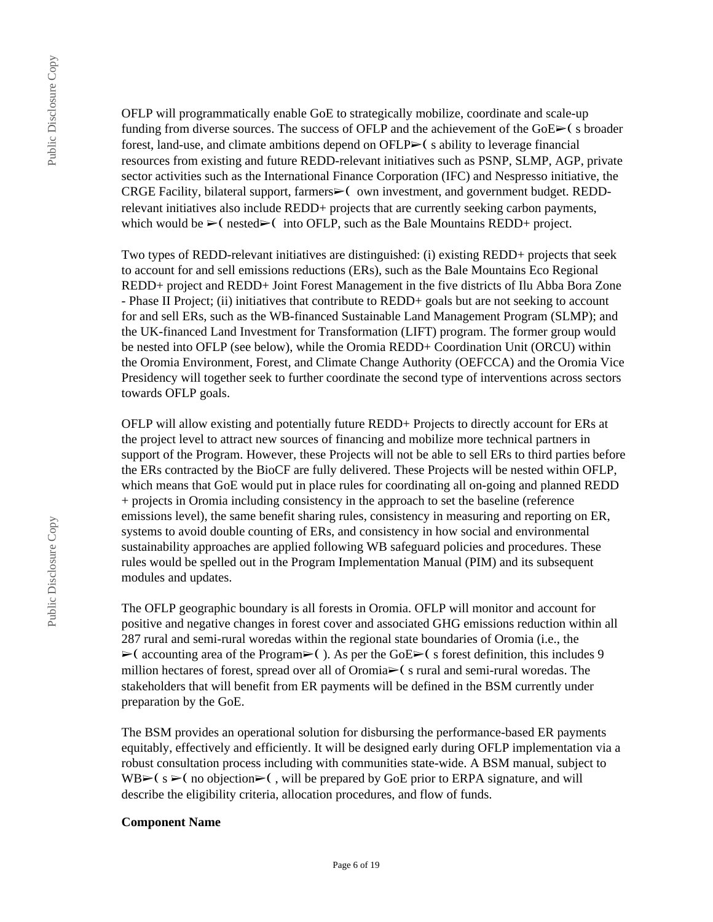OFLP will programmatically enable GoE to strategically mobilize, coordinate and scale-up funding from diverse sources. The success of OFLP and the achievement of the  $GoE \rightarrow (s\ broader$ forest, land-use, and climate ambitions depend on  $OFLP\geq\zeta$  s ability to leverage financial resources from existing and future REDD-relevant initiatives such as PSNP, SLMP, AGP, private sector activities such as the International Finance Corporation (IFC) and Nespresso initiative, the CRGE Facility, bilateral support, farmers► own investment, and government budget. REDDrelevant initiatives also include REDD+ projects that are currently seeking carbon payments, which would be  $\triangleright$  (nested $\triangleright$  into OFLP, such as the Bale Mountains REDD+ project.

Two types of REDD-relevant initiatives are distinguished: (i) existing REDD+ projects that seek to account for and sell emissions reductions (ERs), such as the Bale Mountains Eco Regional REDD+ project and REDD+ Joint Forest Management in the five districts of Ilu Abba Bora Zone - Phase II Project; (ii) initiatives that contribute to REDD+ goals but are not seeking to account for and sell ERs, such as the WB-financed Sustainable Land Management Program (SLMP); and the UK-financed Land Investment for Transformation (LIFT) program. The former group would be nested into OFLP (see below), while the Oromia REDD+ Coordination Unit (ORCU) within the Oromia Environment, Forest, and Climate Change Authority (OEFCCA) and the Oromia Vice Presidency will together seek to further coordinate the second type of interventions across sectors towards OFLP goals.

OFLP will allow existing and potentially future REDD+ Projects to directly account for ERs at the project level to attract new sources of financing and mobilize more technical partners in support of the Program. However, these Projects will not be able to sell ERs to third parties before the ERs contracted by the BioCF are fully delivered. These Projects will be nested within OFLP, which means that GoE would put in place rules for coordinating all on-going and planned REDD + projects in Oromia including consistency in the approach to set the baseline (reference emissions level), the same benefit sharing rules, consistency in measuring and reporting on ER, systems to avoid double counting of ERs, and consistency in how social and environmental sustainability approaches are applied following WB safeguard policies and procedures. These rules would be spelled out in the Program Implementation Manual (PIM) and its subsequent modules and updates.

The OFLP geographic boundary is all forests in Oromia. OFLP will monitor and account for positive and negative changes in forest cover and associated GHG emissions reduction within all 287 rural and semi-rural woredas within the regional state boundaries of Oromia (i.e., the  $\triangleright$  (accounting area of the Program $\triangleright$ ). As per the GoE $\triangleright$  (s forest definition, this includes 9 million hectares of forest, spread over all of Oromia➢❨ s rural and semi-rural woredas. The stakeholders that will benefit from ER payments will be defined in the BSM currently under preparation by the GoE.

The BSM provides an operational solution for disbursing the performance-based ER payments equitably, effectively and efficiently. It will be designed early during OFLP implementation via a robust consultation process including with communities state-wide. A BSM manual, subject to WB $\triangleright$ ( s  $\triangleright$  (no objection $\triangleright$ ), will be prepared by GoE prior to ERPA signature, and will describe the eligibility criteria, allocation procedures, and flow of funds.

#### **Component Name**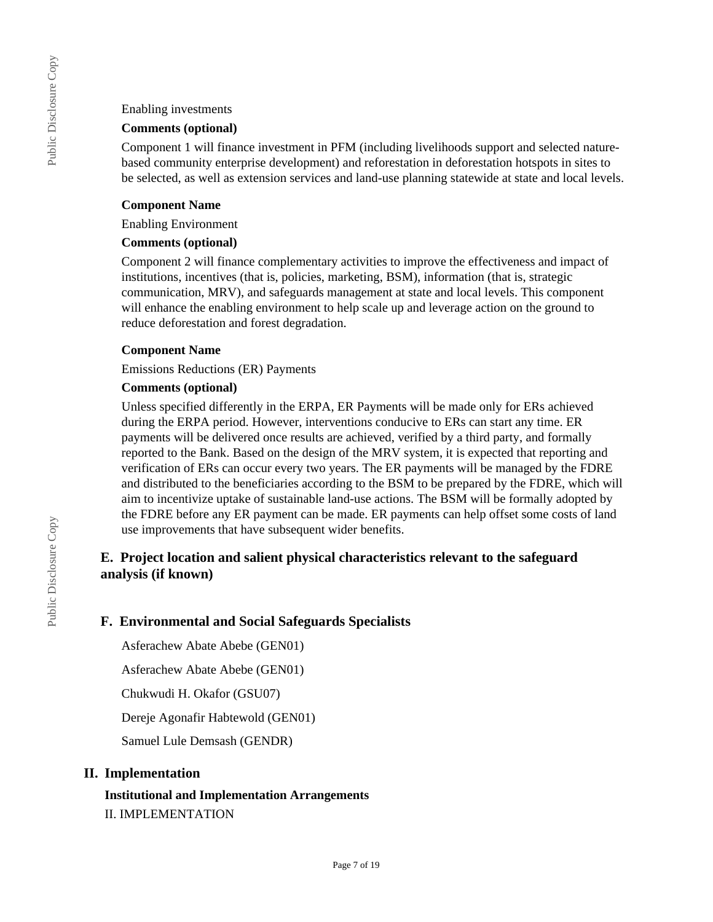#### Enabling investments

### **Comments (optional)**

Component 1 will finance investment in PFM (including livelihoods support and selected naturebased community enterprise development) and reforestation in deforestation hotspots in sites to be selected, as well as extension services and land-use planning statewide at state and local levels.

### **Component Name**

Enabling Environment

### **Comments (optional)**

Component 2 will finance complementary activities to improve the effectiveness and impact of institutions, incentives (that is, policies, marketing, BSM), information (that is, strategic communication, MRV), and safeguards management at state and local levels. This component will enhance the enabling environment to help scale up and leverage action on the ground to reduce deforestation and forest degradation.

### **Component Name**

Emissions Reductions (ER) Payments

### **Comments (optional)**

Unless specified differently in the ERPA, ER Payments will be made only for ERs achieved during the ERPA period. However, interventions conducive to ERs can start any time. ER payments will be delivered once results are achieved, verified by a third party, and formally reported to the Bank. Based on the design of the MRV system, it is expected that reporting and verification of ERs can occur every two years. The ER payments will be managed by the FDRE and distributed to the beneficiaries according to the BSM to be prepared by the FDRE, which will aim to incentivize uptake of sustainable land-use actions. The BSM will be formally adopted by the FDRE before any ER payment can be made. ER payments can help offset some costs of land use improvements that have subsequent wider benefits.

# **E. Project location and salient physical characteristics relevant to the safeguard analysis (if known)**

### **F. Environmental and Social Safeguards Specialists**

Asferachew Abate Abebe (GEN01)

Asferachew Abate Abebe (GEN01)

Chukwudi H. Okafor (GSU07)

Dereje Agonafir Habtewold (GEN01)

Samuel Lule Demsash (GENDR)

### **II. Implementation**

# **Institutional and Implementation Arrangements** II. IMPLEMENTATION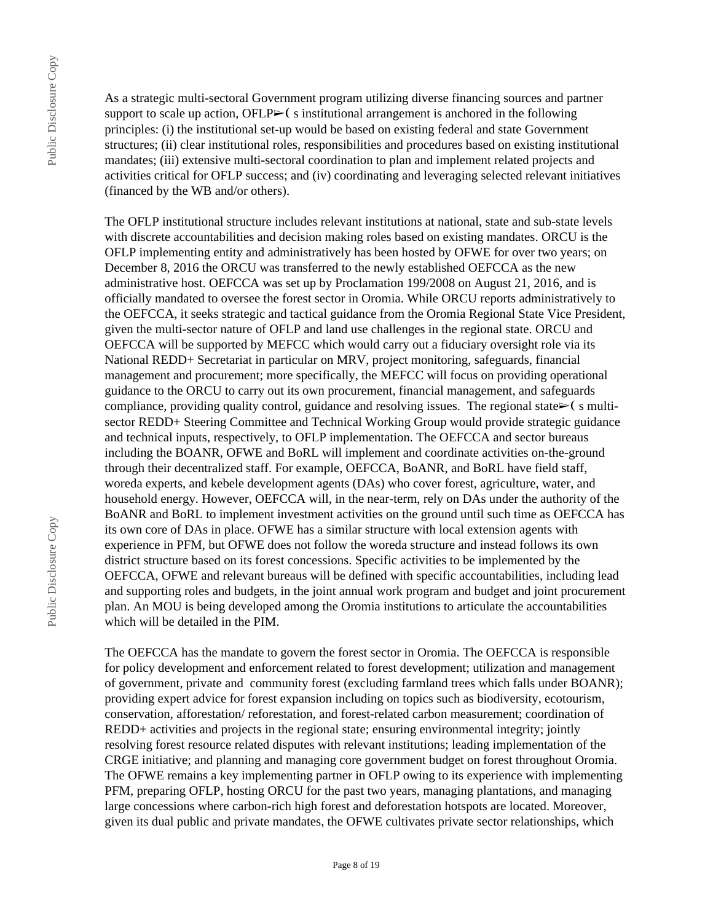As a strategic multi-sectoral Government program utilizing diverse financing sources and partner support to scale up action, OFLP $\geq$  s institutional arrangement is anchored in the following principles: (i) the institutional set-up would be based on existing federal and state Government structures; (ii) clear institutional roles, responsibilities and procedures based on existing institutional mandates; (iii) extensive multi-sectoral coordination to plan and implement related projects and activities critical for OFLP success; and (iv) coordinating and leveraging selected relevant initiatives (financed by the WB and/or others).

The OFLP institutional structure includes relevant institutions at national, state and sub-state levels with discrete accountabilities and decision making roles based on existing mandates. ORCU is the OFLP implementing entity and administratively has been hosted by OFWE for over two years; on December 8, 2016 the ORCU was transferred to the newly established OEFCCA as the new administrative host. OEFCCA was set up by Proclamation 199/2008 on August 21, 2016, and is officially mandated to oversee the forest sector in Oromia. While ORCU reports administratively to the OEFCCA, it seeks strategic and tactical guidance from the Oromia Regional State Vice President, given the multi-sector nature of OFLP and land use challenges in the regional state. ORCU and OEFCCA will be supported by MEFCC which would carry out a fiduciary oversight role via its National REDD+ Secretariat in particular on MRV, project monitoring, safeguards, financial management and procurement; more specifically, the MEFCC will focus on providing operational guidance to the ORCU to carry out its own procurement, financial management, and safeguards compliance, providing quality control, guidance and resolving issues. The regional state $\geq$  (s multisector REDD+ Steering Committee and Technical Working Group would provide strategic guidance and technical inputs, respectively, to OFLP implementation. The OEFCCA and sector bureaus including the BOANR, OFWE and BoRL will implement and coordinate activities on-the-ground through their decentralized staff. For example, OEFCCA, BoANR, and BoRL have field staff, woreda experts, and kebele development agents (DAs) who cover forest, agriculture, water, and household energy. However, OEFCCA will, in the near-term, rely on DAs under the authority of the BoANR and BoRL to implement investment activities on the ground until such time as OEFCCA has its own core of DAs in place. OFWE has a similar structure with local extension agents with experience in PFM, but OFWE does not follow the woreda structure and instead follows its own district structure based on its forest concessions. Specific activities to be implemented by the OEFCCA, OFWE and relevant bureaus will be defined with specific accountabilities, including lead and supporting roles and budgets, in the joint annual work program and budget and joint procurement plan. An MOU is being developed among the Oromia institutions to articulate the accountabilities which will be detailed in the PIM.

The OEFCCA has the mandate to govern the forest sector in Oromia. The OEFCCA is responsible for policy development and enforcement related to forest development; utilization and management of government, private and community forest (excluding farmland trees which falls under BOANR); providing expert advice for forest expansion including on topics such as biodiversity, ecotourism, conservation, afforestation/ reforestation, and forest-related carbon measurement; coordination of REDD+ activities and projects in the regional state; ensuring environmental integrity; jointly resolving forest resource related disputes with relevant institutions; leading implementation of the CRGE initiative; and planning and managing core government budget on forest throughout Oromia. The OFWE remains a key implementing partner in OFLP owing to its experience with implementing PFM, preparing OFLP, hosting ORCU for the past two years, managing plantations, and managing large concessions where carbon-rich high forest and deforestation hotspots are located. Moreover, given its dual public and private mandates, the OFWE cultivates private sector relationships, which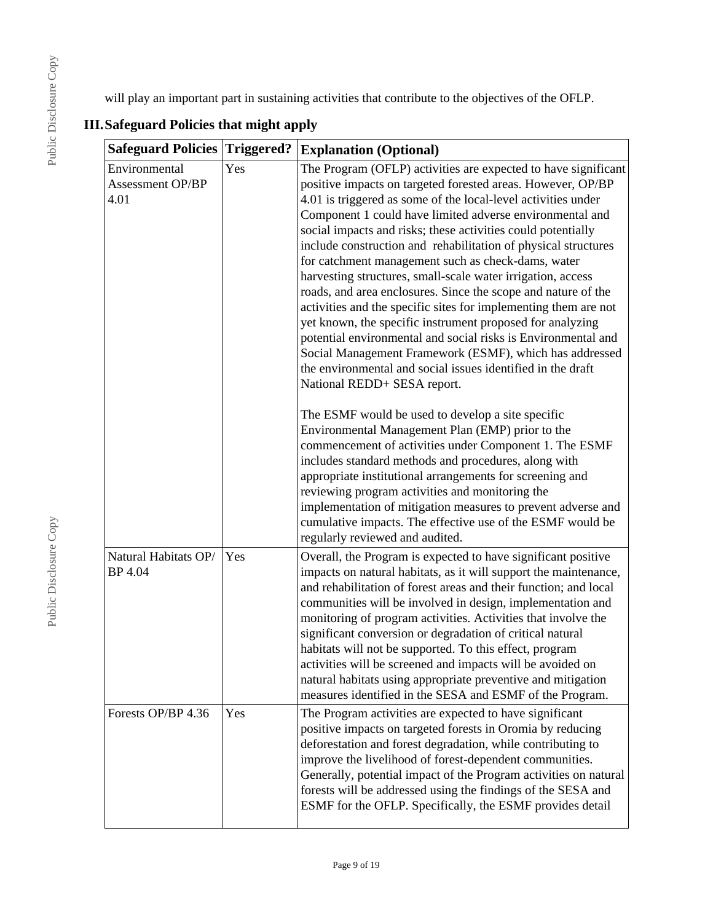ill play an important part in sustaining activities that contribute to the objectives of the OFLP.

| <b>jisclosure</b> | wi                      |
|-------------------|-------------------------|
|                   | III.Sa                  |
| $rac{1}{2}$       | $\overline{\mathbf{S}}$ |
|                   | E                       |
|                   |                         |

# **III.Safeguard Policies that might apply**

| <b>Safeguard Policies Triggered?</b>             |     | <b>Explanation (Optional)</b>                                                                                                                                                                                                                                                                                                                                                                                                                                                                                                                                                                                                                                                                                                                                                                                                                                                                                                                |  |
|--------------------------------------------------|-----|----------------------------------------------------------------------------------------------------------------------------------------------------------------------------------------------------------------------------------------------------------------------------------------------------------------------------------------------------------------------------------------------------------------------------------------------------------------------------------------------------------------------------------------------------------------------------------------------------------------------------------------------------------------------------------------------------------------------------------------------------------------------------------------------------------------------------------------------------------------------------------------------------------------------------------------------|--|
| Environmental<br><b>Assessment OP/BP</b><br>4.01 | Yes | The Program (OFLP) activities are expected to have significant<br>positive impacts on targeted forested areas. However, OP/BP<br>4.01 is triggered as some of the local-level activities under<br>Component 1 could have limited adverse environmental and<br>social impacts and risks; these activities could potentially<br>include construction and rehabilitation of physical structures<br>for catchment management such as check-dams, water<br>harvesting structures, small-scale water irrigation, access<br>roads, and area enclosures. Since the scope and nature of the<br>activities and the specific sites for implementing them are not<br>yet known, the specific instrument proposed for analyzing<br>potential environmental and social risks is Environmental and<br>Social Management Framework (ESMF), which has addressed<br>the environmental and social issues identified in the draft<br>National REDD+ SESA report. |  |
|                                                  |     | The ESMF would be used to develop a site specific<br>Environmental Management Plan (EMP) prior to the<br>commencement of activities under Component 1. The ESMF<br>includes standard methods and procedures, along with<br>appropriate institutional arrangements for screening and<br>reviewing program activities and monitoring the<br>implementation of mitigation measures to prevent adverse and<br>cumulative impacts. The effective use of the ESMF would be<br>regularly reviewed and audited.                                                                                                                                                                                                                                                                                                                                                                                                                                      |  |
| Natural Habitats OP/<br>BP 4.04                  | Yes | Overall, the Program is expected to have significant positive<br>impacts on natural habitats, as it will support the maintenance,<br>and rehabilitation of forest areas and their function; and local<br>communities will be involved in design, implementation and<br>monitoring of program activities. Activities that involve the<br>significant conversion or degradation of critical natural<br>habitats will not be supported. To this effect, program<br>activities will be screened and impacts will be avoided on<br>natural habitats using appropriate preventive and mitigation<br>measures identified in the SESA and ESMF of the Program.                                                                                                                                                                                                                                                                                       |  |
| Forests OP/BP 4.36                               | Yes | The Program activities are expected to have significant<br>positive impacts on targeted forests in Oromia by reducing<br>deforestation and forest degradation, while contributing to<br>improve the livelihood of forest-dependent communities.<br>Generally, potential impact of the Program activities on natural<br>forests will be addressed using the findings of the SESA and<br>ESMF for the OFLP. Specifically, the ESMF provides detail                                                                                                                                                                                                                                                                                                                                                                                                                                                                                             |  |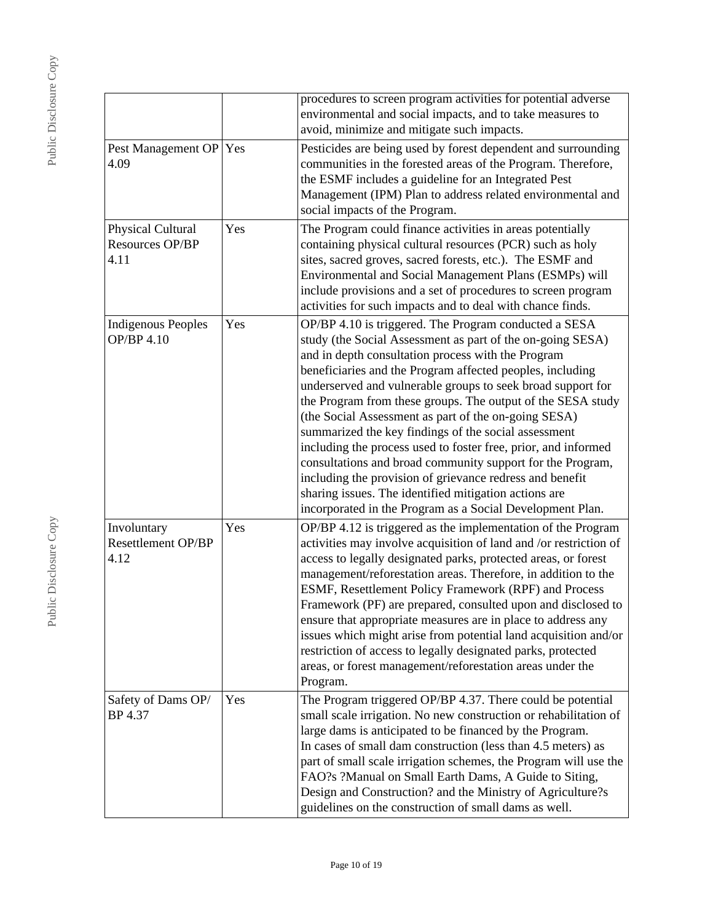|                                                     |     | procedures to screen program activities for potential adverse<br>environmental and social impacts, and to take measures to<br>avoid, minimize and mitigate such impacts.                                                                                                                                                                                                                                                                                                                                                                                                                                                                                                                                                                                                                               |
|-----------------------------------------------------|-----|--------------------------------------------------------------------------------------------------------------------------------------------------------------------------------------------------------------------------------------------------------------------------------------------------------------------------------------------------------------------------------------------------------------------------------------------------------------------------------------------------------------------------------------------------------------------------------------------------------------------------------------------------------------------------------------------------------------------------------------------------------------------------------------------------------|
| Pest Management OP Yes<br>4.09                      |     | Pesticides are being used by forest dependent and surrounding<br>communities in the forested areas of the Program. Therefore,<br>the ESMF includes a guideline for an Integrated Pest<br>Management (IPM) Plan to address related environmental and<br>social impacts of the Program.                                                                                                                                                                                                                                                                                                                                                                                                                                                                                                                  |
| Physical Cultural<br><b>Resources OP/BP</b><br>4.11 | Yes | The Program could finance activities in areas potentially<br>containing physical cultural resources (PCR) such as holy<br>sites, sacred groves, sacred forests, etc.). The ESMF and<br>Environmental and Social Management Plans (ESMPs) will<br>include provisions and a set of procedures to screen program<br>activities for such impacts and to deal with chance finds.                                                                                                                                                                                                                                                                                                                                                                                                                            |
| <b>Indigenous Peoples</b><br>OP/BP 4.10             | Yes | OP/BP 4.10 is triggered. The Program conducted a SESA<br>study (the Social Assessment as part of the on-going SESA)<br>and in depth consultation process with the Program<br>beneficiaries and the Program affected peoples, including<br>underserved and vulnerable groups to seek broad support for<br>the Program from these groups. The output of the SESA study<br>(the Social Assessment as part of the on-going SESA)<br>summarized the key findings of the social assessment<br>including the process used to foster free, prior, and informed<br>consultations and broad community support for the Program,<br>including the provision of grievance redress and benefit<br>sharing issues. The identified mitigation actions are<br>incorporated in the Program as a Social Development Plan. |
| Involuntary<br><b>Resettlement OP/BP</b><br>4.12    | Yes | OP/BP 4.12 is triggered as the implementation of the Program<br>activities may involve acquisition of land and /or restriction of<br>access to legally designated parks, protected areas, or forest<br>management/reforestation areas. Therefore, in addition to the<br>ESMF, Resettlement Policy Framework (RPF) and Process<br>Framework (PF) are prepared, consulted upon and disclosed to<br>ensure that appropriate measures are in place to address any<br>issues which might arise from potential land acquisition and/or<br>restriction of access to legally designated parks, protected<br>areas, or forest management/reforestation areas under the<br>Program.                                                                                                                              |
| Safety of Dams OP/<br>BP 4.37                       | Yes | The Program triggered OP/BP 4.37. There could be potential<br>small scale irrigation. No new construction or rehabilitation of<br>large dams is anticipated to be financed by the Program.<br>In cases of small dam construction (less than 4.5 meters) as<br>part of small scale irrigation schemes, the Program will use the<br>FAO?s ?Manual on Small Earth Dams, A Guide to Siting,<br>Design and Construction? and the Ministry of Agriculture?s<br>guidelines on the construction of small dams as well.                                                                                                                                                                                                                                                                                         |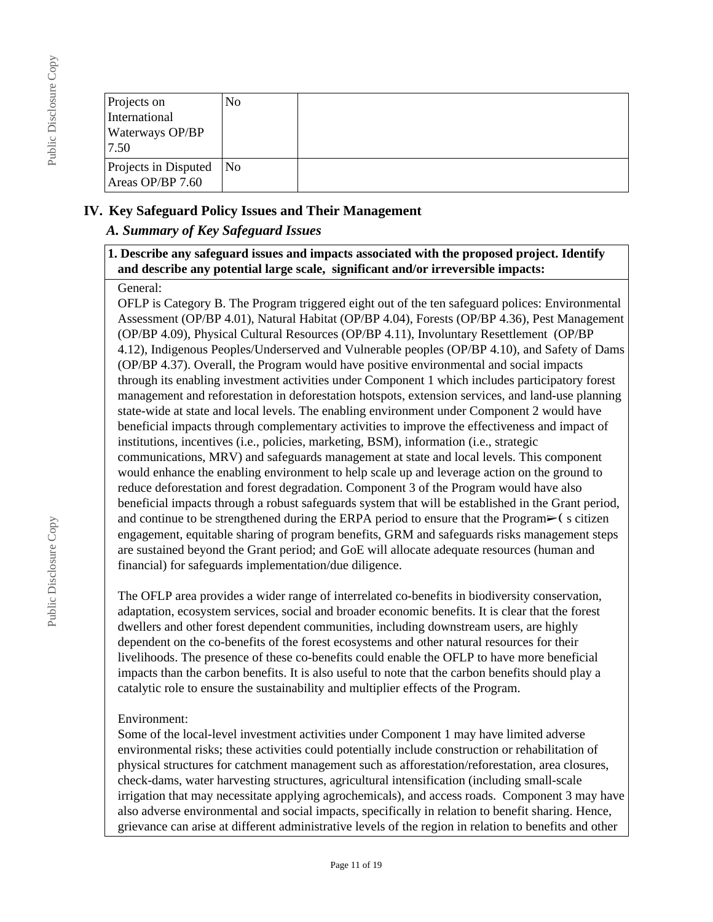| Projects on<br>International<br><b>Waterways OP/BP</b><br>7.50 | No |  |
|----------------------------------------------------------------|----|--|
| Projects in Disputed<br>Areas OP/BP 7.60                       | No |  |

### **IV. Key Safeguard Policy Issues and Their Management**

### *A. Summary of Key Safeguard Issues*

### **1. Describe any safeguard issues and impacts associated with the proposed project. Identify and describe any potential large scale, significant and/or irreversible impacts:**

### General:

OFLP is Category B. The Program triggered eight out of the ten safeguard polices: Environmental Assessment (OP/BP 4.01), Natural Habitat (OP/BP 4.04), Forests (OP/BP 4.36), Pest Management (OP/BP 4.09), Physical Cultural Resources (OP/BP 4.11), Involuntary Resettlement (OP/BP 4.12), Indigenous Peoples/Underserved and Vulnerable peoples (OP/BP 4.10), and Safety of Dams (OP/BP 4.37). Overall, the Program would have positive environmental and social impacts through its enabling investment activities under Component 1 which includes participatory forest management and reforestation in deforestation hotspots, extension services, and land-use planning state-wide at state and local levels. The enabling environment under Component 2 would have beneficial impacts through complementary activities to improve the effectiveness and impact of institutions, incentives (i.e., policies, marketing, BSM), information (i.e., strategic communications, MRV) and safeguards management at state and local levels. This component would enhance the enabling environment to help scale up and leverage action on the ground to reduce deforestation and forest degradation. Component 3 of the Program would have also beneficial impacts through a robust safeguards system that will be established in the Grant period, and continue to be strengthened during the ERPA period to ensure that the Program $\triangleright$  (scitizen engagement, equitable sharing of program benefits, GRM and safeguards risks management steps are sustained beyond the Grant period; and GoE will allocate adequate resources (human and financial) for safeguards implementation/due diligence.

The OFLP area provides a wider range of interrelated co-benefits in biodiversity conservation, adaptation, ecosystem services, social and broader economic benefits. It is clear that the forest dwellers and other forest dependent communities, including downstream users, are highly dependent on the co-benefits of the forest ecosystems and other natural resources for their livelihoods. The presence of these co-benefits could enable the OFLP to have more beneficial impacts than the carbon benefits. It is also useful to note that the carbon benefits should play a catalytic role to ensure the sustainability and multiplier effects of the Program.

### Environment:

Some of the local-level investment activities under Component 1 may have limited adverse environmental risks; these activities could potentially include construction or rehabilitation of physical structures for catchment management such as afforestation/reforestation, area closures, check-dams, water harvesting structures, agricultural intensification (including small-scale irrigation that may necessitate applying agrochemicals), and access roads. Component 3 may have also adverse environmental and social impacts, specifically in relation to benefit sharing. Hence, grievance can arise at different administrative levels of the region in relation to benefits and other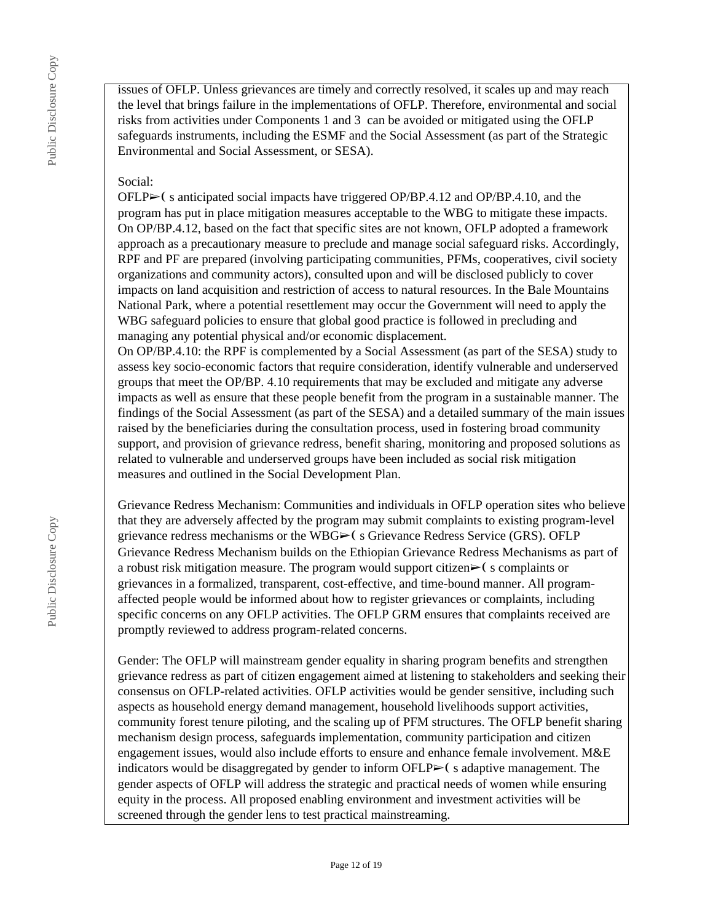issues of OFLP. Unless grievances are timely and correctly resolved, it scales up and may reach the level that brings failure in the implementations of OFLP. Therefore, environmental and social risks from activities under Components 1 and 3 can be avoided or mitigated using the OFLP safeguards instruments, including the ESMF and the Social Assessment (as part of the Strategic Environmental and Social Assessment, or SESA).

### Social:

 $OFLP \rightarrow$  (s anticipated social impacts have triggered OP/BP.4.12 and OP/BP.4.10, and the program has put in place mitigation measures acceptable to the WBG to mitigate these impacts. On OP/BP.4.12, based on the fact that specific sites are not known, OFLP adopted a framework approach as a precautionary measure to preclude and manage social safeguard risks. Accordingly, RPF and PF are prepared (involving participating communities, PFMs, cooperatives, civil society organizations and community actors), consulted upon and will be disclosed publicly to cover impacts on land acquisition and restriction of access to natural resources. In the Bale Mountains National Park, where a potential resettlement may occur the Government will need to apply the WBG safeguard policies to ensure that global good practice is followed in precluding and managing any potential physical and/or economic displacement.

On OP/BP.4.10: the RPF is complemented by a Social Assessment (as part of the SESA) study to assess key socio-economic factors that require consideration, identify vulnerable and underserved groups that meet the OP/BP. 4.10 requirements that may be excluded and mitigate any adverse impacts as well as ensure that these people benefit from the program in a sustainable manner. The findings of the Social Assessment (as part of the SESA) and a detailed summary of the main issues raised by the beneficiaries during the consultation process, used in fostering broad community support, and provision of grievance redress, benefit sharing, monitoring and proposed solutions as related to vulnerable and underserved groups have been included as social risk mitigation measures and outlined in the Social Development Plan.

Grievance Redress Mechanism: Communities and individuals in OFLP operation sites who believe that they are adversely affected by the program may submit complaints to existing program-level grievance redress mechanisms or the WBG $\blacktriangleright$  (s Grievance Redress Service (GRS). OFLP Grievance Redress Mechanism builds on the Ethiopian Grievance Redress Mechanisms as part of a robust risk mitigation measure. The program would support citizen $\triangleright$  (s complaints or grievances in a formalized, transparent, cost-effective, and time-bound manner. All programaffected people would be informed about how to register grievances or complaints, including specific concerns on any OFLP activities. The OFLP GRM ensures that complaints received are promptly reviewed to address program-related concerns.

Gender: The OFLP will mainstream gender equality in sharing program benefits and strengthen grievance redress as part of citizen engagement aimed at listening to stakeholders and seeking their consensus on OFLP-related activities. OFLP activities would be gender sensitive, including such aspects as household energy demand management, household livelihoods support activities, community forest tenure piloting, and the scaling up of PFM structures. The OFLP benefit sharing mechanism design process, safeguards implementation, community participation and citizen engagement issues, would also include efforts to ensure and enhance female involvement. M&E indicators would be disaggregated by gender to inform  $OFLP \geq 0$  s adaptive management. The gender aspects of OFLP will address the strategic and practical needs of women while ensuring equity in the process. All proposed enabling environment and investment activities will be screened through the gender lens to test practical mainstreaming.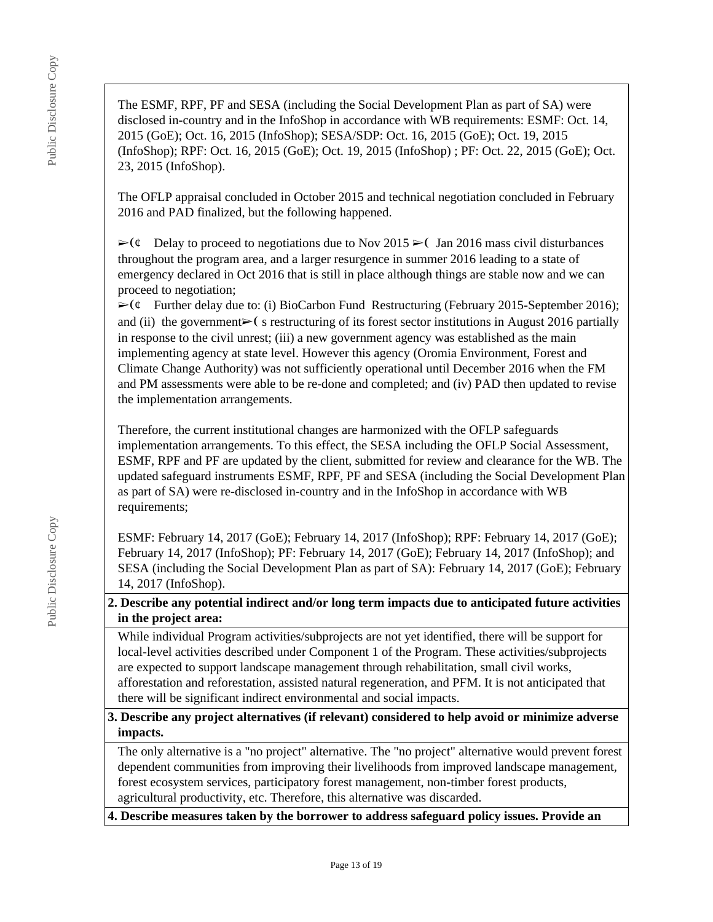The ESMF, RPF, PF and SESA (including the Social Development Plan as part of SA) were disclosed in-country and in the InfoShop in accordance with WB requirements: ESMF: Oct. 14, 2015 (GoE); Oct. 16, 2015 (InfoShop); SESA/SDP: Oct. 16, 2015 (GoE); Oct. 19, 2015 (InfoShop); RPF: Oct. 16, 2015 (GoE); Oct. 19, 2015 (InfoShop) ; PF: Oct. 22, 2015 (GoE); Oct. 23, 2015 (InfoShop).

The OFLP appraisal concluded in October 2015 and technical negotiation concluded in February 2016 and PAD finalized, but the following happened.

 $\triangleright$  (¢ Delay to proceed to negotiations due to Nov 2015  $\triangleright$  Jan 2016 mass civil disturbances throughout the program area, and a larger resurgence in summer 2016 leading to a state of emergency declared in Oct 2016 that is still in place although things are stable now and we can proceed to negotiation;

 $\triangleright$  ( $\phi$  Further delay due to: (i) BioCarbon Fund Restructuring (February 2015-September 2016); and (ii) the government $\triangleright$  (s restructuring of its forest sector institutions in August 2016 partially in response to the civil unrest; (iii) a new government agency was established as the main implementing agency at state level. However this agency (Oromia Environment, Forest and Climate Change Authority) was not sufficiently operational until December 2016 when the FM and PM assessments were able to be re-done and completed; and (iv) PAD then updated to revise the implementation arrangements.

Therefore, the current institutional changes are harmonized with the OFLP safeguards implementation arrangements. To this effect, the SESA including the OFLP Social Assessment, ESMF, RPF and PF are updated by the client, submitted for review and clearance for the WB. The updated safeguard instruments ESMF, RPF, PF and SESA (including the Social Development Plan as part of SA) were re-disclosed in-country and in the InfoShop in accordance with WB requirements;

ESMF: February 14, 2017 (GoE); February 14, 2017 (InfoShop); RPF: February 14, 2017 (GoE); February 14, 2017 (InfoShop); PF: February 14, 2017 (GoE); February 14, 2017 (InfoShop); and SESA (including the Social Development Plan as part of SA): February 14, 2017 (GoE); February 14, 2017 (InfoShop).

**2. Describe any potential indirect and/or long term impacts due to anticipated future activities in the project area:**

While individual Program activities/subprojects are not yet identified, there will be support for local-level activities described under Component 1 of the Program. These activities/subprojects are expected to support landscape management through rehabilitation, small civil works, afforestation and reforestation, assisted natural regeneration, and PFM. It is not anticipated that there will be significant indirect environmental and social impacts.

**3. Describe any project alternatives (if relevant) considered to help avoid or minimize adverse impacts.**

The only alternative is a "no project" alternative. The "no project" alternative would prevent forest dependent communities from improving their livelihoods from improved landscape management, forest ecosystem services, participatory forest management, non-timber forest products, agricultural productivity, etc. Therefore, this alternative was discarded.

**4. Describe measures taken by the borrower to address safeguard policy issues. Provide an**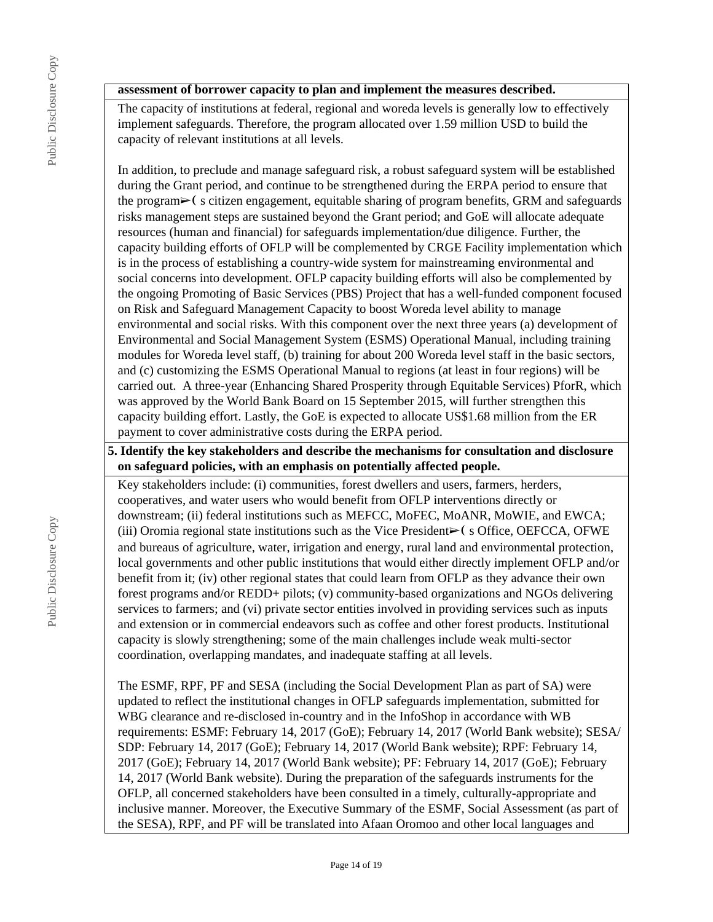### **assessment of borrower capacity to plan and implement the measures described.**

The capacity of institutions at federal, regional and woreda levels is generally low to effectively implement safeguards. Therefore, the program allocated over 1.59 million USD to build the capacity of relevant institutions at all levels.

In addition, to preclude and manage safeguard risk, a robust safeguard system will be established during the Grant period, and continue to be strengthened during the ERPA period to ensure that the program➢❨ s citizen engagement, equitable sharing of program benefits, GRM and safeguards risks management steps are sustained beyond the Grant period; and GoE will allocate adequate resources (human and financial) for safeguards implementation/due diligence. Further, the capacity building efforts of OFLP will be complemented by CRGE Facility implementation which is in the process of establishing a country-wide system for mainstreaming environmental and social concerns into development. OFLP capacity building efforts will also be complemented by the ongoing Promoting of Basic Services (PBS) Project that has a well-funded component focused on Risk and Safeguard Management Capacity to boost Woreda level ability to manage environmental and social risks. With this component over the next three years (a) development of Environmental and Social Management System (ESMS) Operational Manual, including training modules for Woreda level staff, (b) training for about 200 Woreda level staff in the basic sectors, and (c) customizing the ESMS Operational Manual to regions (at least in four regions) will be carried out. A three-year (Enhancing Shared Prosperity through Equitable Services) PforR, which was approved by the World Bank Board on 15 September 2015, will further strengthen this capacity building effort. Lastly, the GoE is expected to allocate US\$1.68 million from the ER payment to cover administrative costs during the ERPA period.

### **5. Identify the key stakeholders and describe the mechanisms for consultation and disclosure on safeguard policies, with an emphasis on potentially affected people.**

Key stakeholders include: (i) communities, forest dwellers and users, farmers, herders, cooperatives, and water users who would benefit from OFLP interventions directly or downstream; (ii) federal institutions such as MEFCC, MoFEC, MoANR, MoWIE, and EWCA; (iii) Oromia regional state institutions such as the Vice President $\blacktriangleright$  (s Office, OEFCCA, OFWE and bureaus of agriculture, water, irrigation and energy, rural land and environmental protection, local governments and other public institutions that would either directly implement OFLP and/or benefit from it; (iv) other regional states that could learn from OFLP as they advance their own forest programs and/or REDD+ pilots; (v) community-based organizations and NGOs delivering services to farmers; and (vi) private sector entities involved in providing services such as inputs and extension or in commercial endeavors such as coffee and other forest products. Institutional capacity is slowly strengthening; some of the main challenges include weak multi-sector coordination, overlapping mandates, and inadequate staffing at all levels.

The ESMF, RPF, PF and SESA (including the Social Development Plan as part of SA) were updated to reflect the institutional changes in OFLP safeguards implementation, submitted for WBG clearance and re-disclosed in-country and in the InfoShop in accordance with WB requirements: ESMF: February 14, 2017 (GoE); February 14, 2017 (World Bank website); SESA/ SDP: February 14, 2017 (GoE); February 14, 2017 (World Bank website); RPF: February 14, 2017 (GoE); February 14, 2017 (World Bank website); PF: February 14, 2017 (GoE); February 14, 2017 (World Bank website). During the preparation of the safeguards instruments for the OFLP, all concerned stakeholders have been consulted in a timely, culturally-appropriate and inclusive manner. Moreover, the Executive Summary of the ESMF, Social Assessment (as part of the SESA), RPF, and PF will be translated into Afaan Oromoo and other local languages and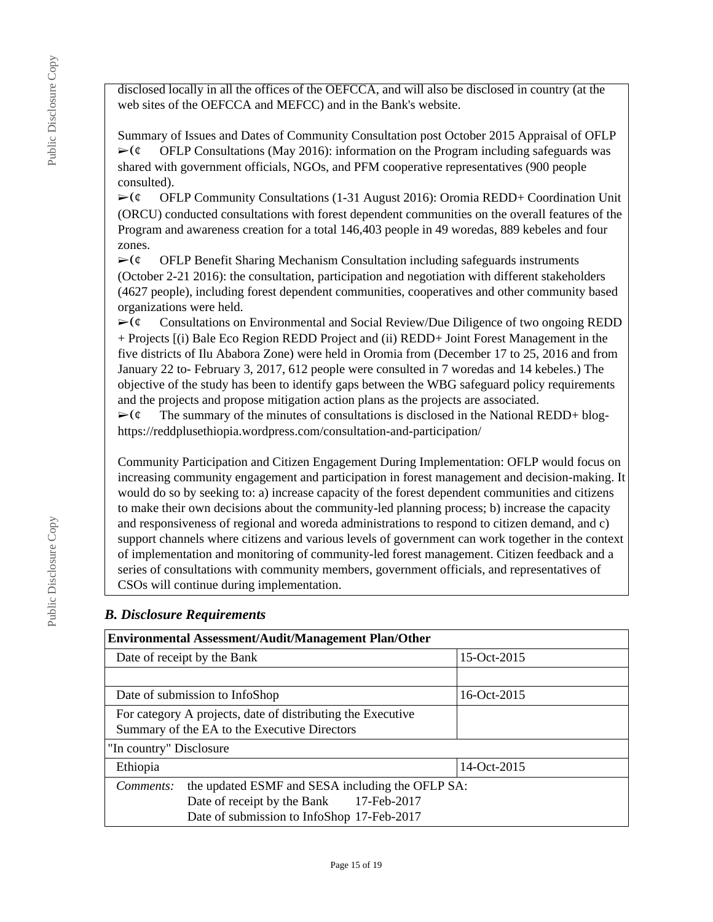disclosed locally in all the offices of the OEFCCA, and will also be disclosed in country (at the web sites of the OEFCCA and MEFCC) and in the Bank's website.

Summary of Issues and Dates of Community Consultation post October 2015 Appraisal of OFLP  $\triangleright$  ( $\epsilon$  OFLP Consultations (May 2016): information on the Program including safeguards was shared with government officials, NGOs, and PFM cooperative representatives (900 people consulted).

 $\triangleright$  (¢ OFLP Community Consultations (1-31 August 2016): Oromia REDD+ Coordination Unit (ORCU) conducted consultations with forest dependent communities on the overall features of the Program and awareness creation for a total 146,403 people in 49 woredas, 889 kebeles and four zones.

 $\triangleright$ ( $\phi$  OFLP Benefit Sharing Mechanism Consultation including safeguards instruments (October 2-21 2016): the consultation, participation and negotiation with different stakeholders (4627 people), including forest dependent communities, cooperatives and other community based organizations were held.

 $\triangleright$  ( $\phi$  Consultations on Environmental and Social Review/Due Diligence of two ongoing REDD + Projects [(i) Bale Eco Region REDD Project and (ii) REDD+ Joint Forest Management in the five districts of Ilu Ababora Zone) were held in Oromia from (December 17 to 25, 2016 and from January 22 to- February 3, 2017, 612 people were consulted in 7 woredas and 14 kebeles.) The objective of the study has been to identify gaps between the WBG safeguard policy requirements and the projects and propose mitigation action plans as the projects are associated.

 $\triangleright$  ( $\phi$  The summary of the minutes of consultations is disclosed in the National REDD+ bloghttps://reddplusethiopia.wordpress.com/consultation-and-participation/

Community Participation and Citizen Engagement During Implementation: OFLP would focus on increasing community engagement and participation in forest management and decision-making. It would do so by seeking to: a) increase capacity of the forest dependent communities and citizens to make their own decisions about the community-led planning process; b) increase the capacity and responsiveness of regional and woreda administrations to respond to citizen demand, and c) support channels where citizens and various levels of government can work together in the context of implementation and monitoring of community-led forest management. Citizen feedback and a series of consultations with community members, government officials, and representatives of CSOs will continue during implementation.

# *B. Disclosure Requirements*

| <b>Environmental Assessment/Audit/Management Plan/Other</b>   |               |  |  |  |
|---------------------------------------------------------------|---------------|--|--|--|
| Date of receipt by the Bank                                   | 15-Oct-2015   |  |  |  |
|                                                               |               |  |  |  |
| Date of submission to InfoShop                                | $16-Oct-2015$ |  |  |  |
| For category A projects, date of distributing the Executive   |               |  |  |  |
| Summary of the EA to the Executive Directors                  |               |  |  |  |
| "In country" Disclosure                                       |               |  |  |  |
| Ethiopia                                                      | 14-Oct-2015   |  |  |  |
| the updated ESMF and SESA including the OFLP SA:<br>Comments: |               |  |  |  |
| Date of receipt by the Bank 17-Feb-2017                       |               |  |  |  |
| Date of submission to InfoShop 17-Feb-2017                    |               |  |  |  |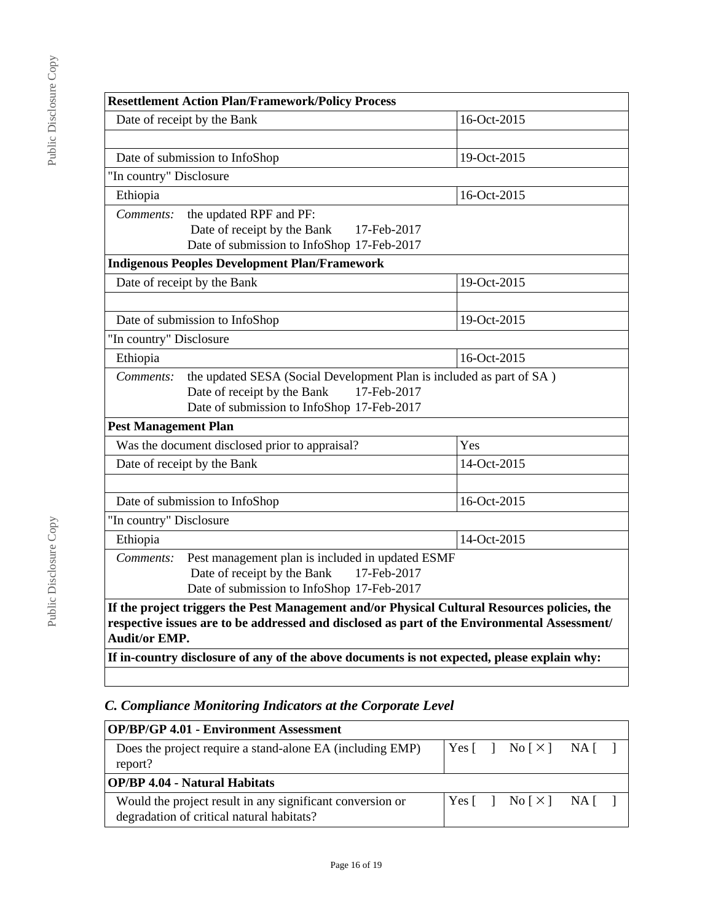| <b>Resettlement Action Plan/Framework/Policy Process</b>                                                                                                                                                             |                                                                                             |             |  |  |
|----------------------------------------------------------------------------------------------------------------------------------------------------------------------------------------------------------------------|---------------------------------------------------------------------------------------------|-------------|--|--|
|                                                                                                                                                                                                                      | Date of receipt by the Bank                                                                 | 16-Oct-2015 |  |  |
|                                                                                                                                                                                                                      |                                                                                             |             |  |  |
|                                                                                                                                                                                                                      | Date of submission to InfoShop                                                              | 19-Oct-2015 |  |  |
| "In country" Disclosure                                                                                                                                                                                              |                                                                                             |             |  |  |
| Ethiopia                                                                                                                                                                                                             |                                                                                             | 16-Oct-2015 |  |  |
| Comments:                                                                                                                                                                                                            | the updated RPF and PF:                                                                     |             |  |  |
|                                                                                                                                                                                                                      | Date of receipt by the Bank<br>17-Feb-2017                                                  |             |  |  |
|                                                                                                                                                                                                                      | Date of submission to InfoShop 17-Feb-2017                                                  |             |  |  |
|                                                                                                                                                                                                                      | <b>Indigenous Peoples Development Plan/Framework</b>                                        |             |  |  |
|                                                                                                                                                                                                                      | Date of receipt by the Bank                                                                 | 19-Oct-2015 |  |  |
|                                                                                                                                                                                                                      |                                                                                             |             |  |  |
|                                                                                                                                                                                                                      | 19-Oct-2015<br>Date of submission to InfoShop                                               |             |  |  |
| "In country" Disclosure                                                                                                                                                                                              |                                                                                             |             |  |  |
| Ethiopia                                                                                                                                                                                                             | 16-Oct-2015                                                                                 |             |  |  |
| Comments:                                                                                                                                                                                                            | the updated SESA (Social Development Plan is included as part of SA)                        |             |  |  |
|                                                                                                                                                                                                                      | Date of receipt by the Bank<br>17-Feb-2017                                                  |             |  |  |
|                                                                                                                                                                                                                      | Date of submission to InfoShop 17-Feb-2017                                                  |             |  |  |
| <b>Pest Management Plan</b>                                                                                                                                                                                          |                                                                                             |             |  |  |
|                                                                                                                                                                                                                      | Was the document disclosed prior to appraisal?                                              | Yes         |  |  |
|                                                                                                                                                                                                                      | Date of receipt by the Bank                                                                 | 14-Oct-2015 |  |  |
|                                                                                                                                                                                                                      |                                                                                             |             |  |  |
|                                                                                                                                                                                                                      | Date of submission to InfoShop                                                              | 16-Oct-2015 |  |  |
| "In country" Disclosure                                                                                                                                                                                              |                                                                                             |             |  |  |
| Ethiopia                                                                                                                                                                                                             |                                                                                             | 14-Oct-2015 |  |  |
| Pest management plan is included in updated ESMF<br>Comments:                                                                                                                                                        |                                                                                             |             |  |  |
| Date of receipt by the Bank<br>17-Feb-2017                                                                                                                                                                           |                                                                                             |             |  |  |
| Date of submission to InfoShop 17-Feb-2017                                                                                                                                                                           |                                                                                             |             |  |  |
| If the project triggers the Pest Management and/or Physical Cultural Resources policies, the<br>respective issues are to be addressed and disclosed as part of the Environmental Assessment/<br><b>Audit/or EMP.</b> |                                                                                             |             |  |  |
|                                                                                                                                                                                                                      | If in-country disclosure of any of the above documents is not expected, please explain why: |             |  |  |

# *C. Compliance Monitoring Indicators at the Corporate Level*

| <b>OP/BP/GP 4.01 - Environment Assessment</b>                                                          |  |                                                                              |  |
|--------------------------------------------------------------------------------------------------------|--|------------------------------------------------------------------------------|--|
| Does the project require a stand-alone EA (including EMP)<br>report?                                   |  | Yes $\lceil \cdot \rceil$ No $\lceil \times \rceil$ NA $\lceil \cdot \rceil$ |  |
| <b>OP/BP 4.04 - Natural Habitats</b>                                                                   |  |                                                                              |  |
| Would the project result in any significant conversion or<br>degradation of critical natural habitats? |  | Yes $\lceil \cdot \rceil$ No $\lceil \times \rceil$ NA $\lceil \cdot \rceil$ |  |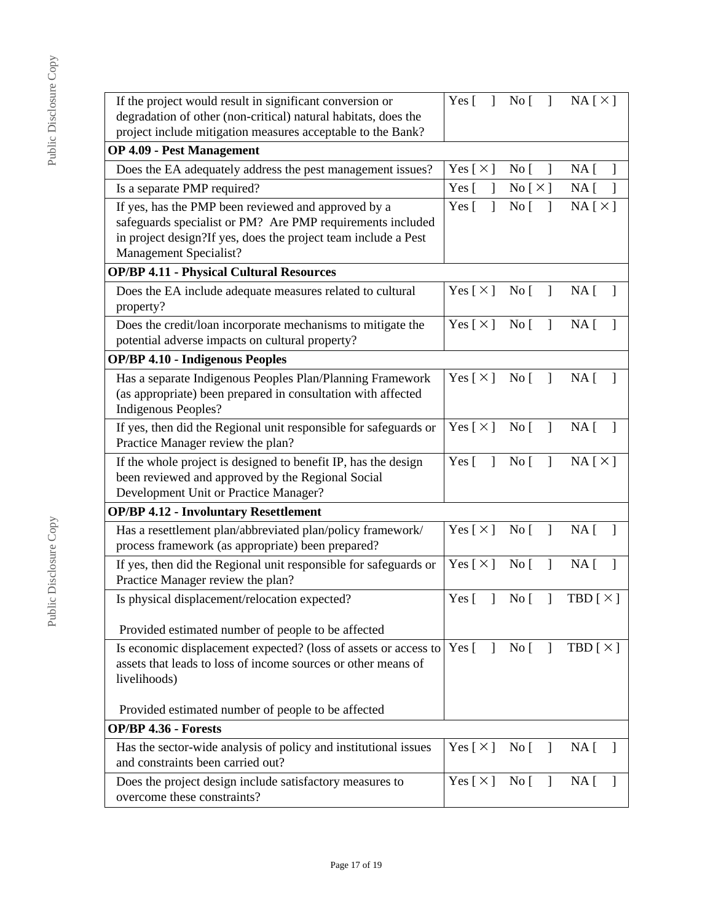| If the project would result in significant conversion or                                                        | Yes $\lceil \quad \rceil$    | No [                                 | $NA [ \times ]$                               |
|-----------------------------------------------------------------------------------------------------------------|------------------------------|--------------------------------------|-----------------------------------------------|
| degradation of other (non-critical) natural habitats, does the                                                  |                              |                                      |                                               |
| project include mitigation measures acceptable to the Bank?                                                     |                              |                                      |                                               |
| <b>OP 4.09 - Pest Management</b>                                                                                |                              |                                      |                                               |
| Does the EA adequately address the pest management issues?                                                      | Yes [ $\times$ ]             | No <sub>[</sub><br>-1                | $NA$ [<br>$\perp$                             |
| Is a separate PMP required?                                                                                     | Yes $\lceil$                 | No [ $\times$ ]                      | NA [                                          |
| If yes, has the PMP been reviewed and approved by a                                                             | $\mathbf{I}$<br>Yes $\lceil$ | No <sub>1</sub><br>$\mathbf{I}$      | NA[X]                                         |
| safeguards specialist or PM? Are PMP requirements included                                                      |                              |                                      |                                               |
| in project design?If yes, does the project team include a Pest                                                  |                              |                                      |                                               |
| Management Specialist?                                                                                          |                              |                                      |                                               |
| <b>OP/BP 4.11 - Physical Cultural Resources</b>                                                                 |                              |                                      |                                               |
| Does the EA include adequate measures related to cultural<br>property?                                          | Yes $[\times]$ No $[\ ]$     |                                      | $NA$ [                                        |
| Does the credit/loan incorporate mechanisms to mitigate the                                                     | Yes [×] No [ ] NA]           |                                      |                                               |
| potential adverse impacts on cultural property?                                                                 |                              |                                      |                                               |
| <b>OP/BP 4.10 - Indigenous Peoples</b>                                                                          |                              |                                      |                                               |
| Has a separate Indigenous Peoples Plan/Planning Framework                                                       | Yes [ $\times$ ]             | $\mathbf{I}$<br>$\overline{N}$ o     | NA <sub>1</sub>                               |
| (as appropriate) been prepared in consultation with affected                                                    |                              |                                      |                                               |
| Indigenous Peoples?                                                                                             |                              |                                      |                                               |
| If yes, then did the Regional unit responsible for safeguards or                                                | Yes [ $\times$ ]             | No <sub>[</sub> ]<br>1               | NA [<br>$\mathbf{I}$                          |
| Practice Manager review the plan?                                                                               |                              |                                      |                                               |
| If the whole project is designed to benefit IP, has the design                                                  | Yes $\lceil$<br>$\mathbf{1}$ | $\mathbf{I}$<br>$\overline{N}$ o     | NA[X]                                         |
| been reviewed and approved by the Regional Social                                                               |                              |                                      |                                               |
| Development Unit or Practice Manager?                                                                           |                              |                                      |                                               |
| <b>OP/BP 4.12 - Involuntary Resettlement</b>                                                                    |                              |                                      |                                               |
| Has a resettlement plan/abbreviated plan/policy framework/<br>process framework (as appropriate) been prepared? | Yes $\lceil \times \rceil$   | $\overline{N}$ o<br>$\overline{1}$   | $NA \lceil$                                   |
| If yes, then did the Regional unit responsible for safeguards or                                                | Yes $\lceil \times \rceil$   | No [<br>$\mathbf{I}$                 | NA <sub>1</sub><br>$\mathbf{1}$               |
| Practice Manager review the plan?                                                                               |                              |                                      |                                               |
| Is physical displacement/relocation expected?                                                                   | $\mathbf{I}$<br>Yes $\lceil$ | $\mathbf{I}$<br>No <sub>1</sub>      | TBD $\lceil \times \rceil$                    |
|                                                                                                                 |                              |                                      |                                               |
| Provided estimated number of people to be affected                                                              |                              |                                      |                                               |
| Is economic displacement expected? (loss of assets or access to                                                 | Yes $\lceil$<br>$\mathbf{I}$ | No [                                 | TBD $[\times]$                                |
| assets that leads to loss of income sources or other means of                                                   |                              |                                      |                                               |
| livelihoods)                                                                                                    |                              |                                      |                                               |
|                                                                                                                 |                              |                                      |                                               |
| Provided estimated number of people to be affected                                                              |                              |                                      |                                               |
| <b>OP/BP 4.36 - Forests</b>                                                                                     |                              |                                      |                                               |
| Has the sector-wide analysis of policy and institutional issues                                                 | Yes [ $\times$ ]             | $\overline{N}$ o $\overline{[}$<br>1 | NA <sub>[</sub> ]<br>$\overline{\phantom{a}}$ |
| and constraints been carried out?                                                                               |                              |                                      |                                               |
| Does the project design include satisfactory measures to                                                        | Yes [ $\times$ ]             | No [<br>$\mathbf{I}$                 | NA [<br>$\mathbf{I}$                          |
| overcome these constraints?                                                                                     |                              |                                      |                                               |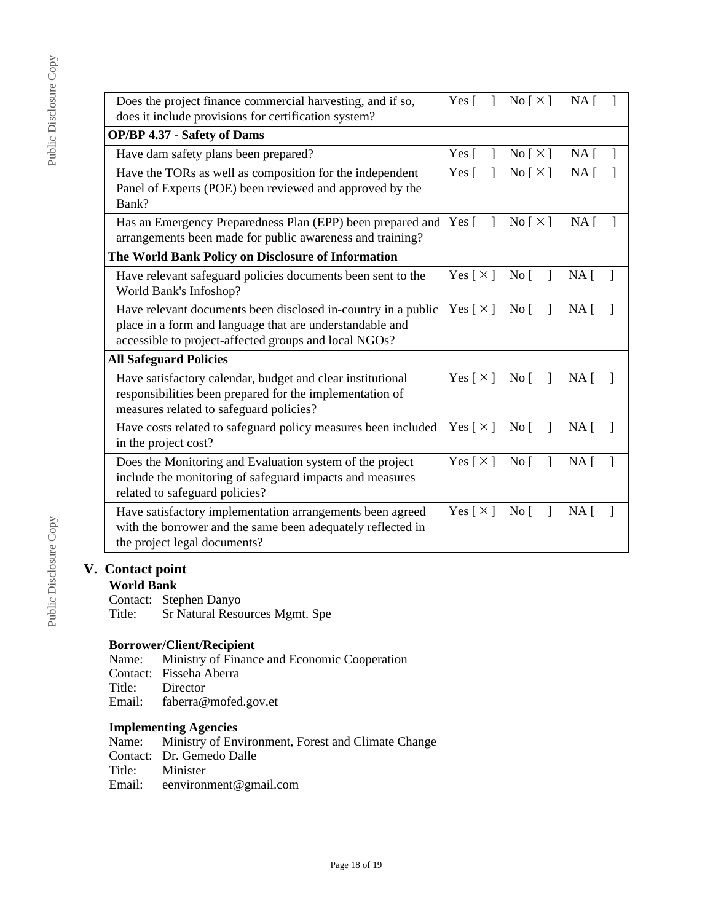| L doine Disclosure Col |  |  |
|------------------------|--|--|
|                        |  |  |
|                        |  |  |
|                        |  |  |
|                        |  |  |

| Does the project finance commercial harvesting, and if so,    |                            | $\text{No} \lceil \times \rceil$   | NA <sub>1</sub> |        |
|---------------------------------------------------------------|----------------------------|------------------------------------|-----------------|--------|
| does it include provisions for certification system?          |                            |                                    |                 |        |
| <b>OP/BP 4.37 - Safety of Dams</b>                            |                            |                                    |                 |        |
| Have dam safety plans been prepared?                          | Yes $\lceil$<br>1          | No [ $\times$ ]                    | NA <sub>1</sub> |        |
| Have the TORs as well as composition for the independent      | Yes $\lceil$               | $\text{No} \lceil \times \rceil$   | NA <sub>1</sub> |        |
| Panel of Experts (POE) been reviewed and approved by the      |                            |                                    |                 |        |
| Bank?                                                         |                            |                                    |                 |        |
| Has an Emergency Preparedness Plan (EPP) been prepared and    | Yes $\lceil$<br>1          | No [ $\times$ ]                    | NA <sub>1</sub> |        |
| arrangements been made for public awareness and training?     |                            |                                    |                 |        |
| The World Bank Policy on Disclosure of Information            |                            |                                    |                 |        |
| Have relevant safeguard policies documents been sent to the   | Yes $\lceil \times \rceil$ | $\mathbf{I}$<br>$\overline{N}$ o   | $NA \,$ [       |        |
| World Bank's Infoshop?                                        |                            |                                    |                 |        |
| Have relevant documents been disclosed in-country in a public | Yes $\lceil \times \rceil$ | $\overline{N}$ o<br>$\mathbf{I}$   | $NA \,$ [       |        |
| place in a form and language that are understandable and      |                            |                                    |                 |        |
| accessible to project-affected groups and local NGOs?         |                            |                                    |                 |        |
| <b>All Safeguard Policies</b>                                 |                            |                                    |                 |        |
| Have satisfactory calendar, budget and clear institutional    |                            | Yes $[\times]$ No $[\ ]$           | $NA \,$ [       |        |
| responsibilities been prepared for the implementation of      |                            |                                    |                 |        |
| measures related to safeguard policies?                       |                            |                                    |                 |        |
| Have costs related to safeguard policy measures been included | Yes $\lceil \times \rceil$ | $\overline{N}$ o<br>$\overline{1}$ | $NA \lceil$     | $\Box$ |
| in the project cost?                                          |                            |                                    |                 |        |
| Does the Monitoring and Evaluation system of the project      | Yes $\lceil \times \rceil$ | $\mathbf{I}$<br>$\overline{N}$ o   | $NA \Gamma$     |        |
| include the monitoring of safeguard impacts and measures      |                            |                                    |                 |        |
| related to safeguard policies?                                |                            |                                    |                 |        |
| Have satisfactory implementation arrangements been agreed     | Yes $\lceil \times \rceil$ | $\mathbf{I}$<br>$\overline{N}$ o   | NA <sub>1</sub> |        |
| with the borrower and the same been adequately reflected in   |                            |                                    |                 |        |
| the project legal documents?                                  |                            |                                    |                 |        |
|                                                               |                            |                                    |                 |        |

# **V. Contact point**

# **World Bank**

Contact: Stephen Danyo<br>Title: Sr Natural Reso Sr Natural Resources Mgmt. Spe

**Borrower/Client/Recipient** Name: Ministry of Finance and Economic Cooperation Contact: Fisseha Aberra<br>Title: Director Director Email: faberra@mofed.gov.et

# **Implementing Agencies**

Name: Ministry of Environment, Forest and Climate Change Contact: Dr. Gemedo Dalle<br>Title: Minister Title: Minister<br>Email: eenvironi eenvironment@gmail.com